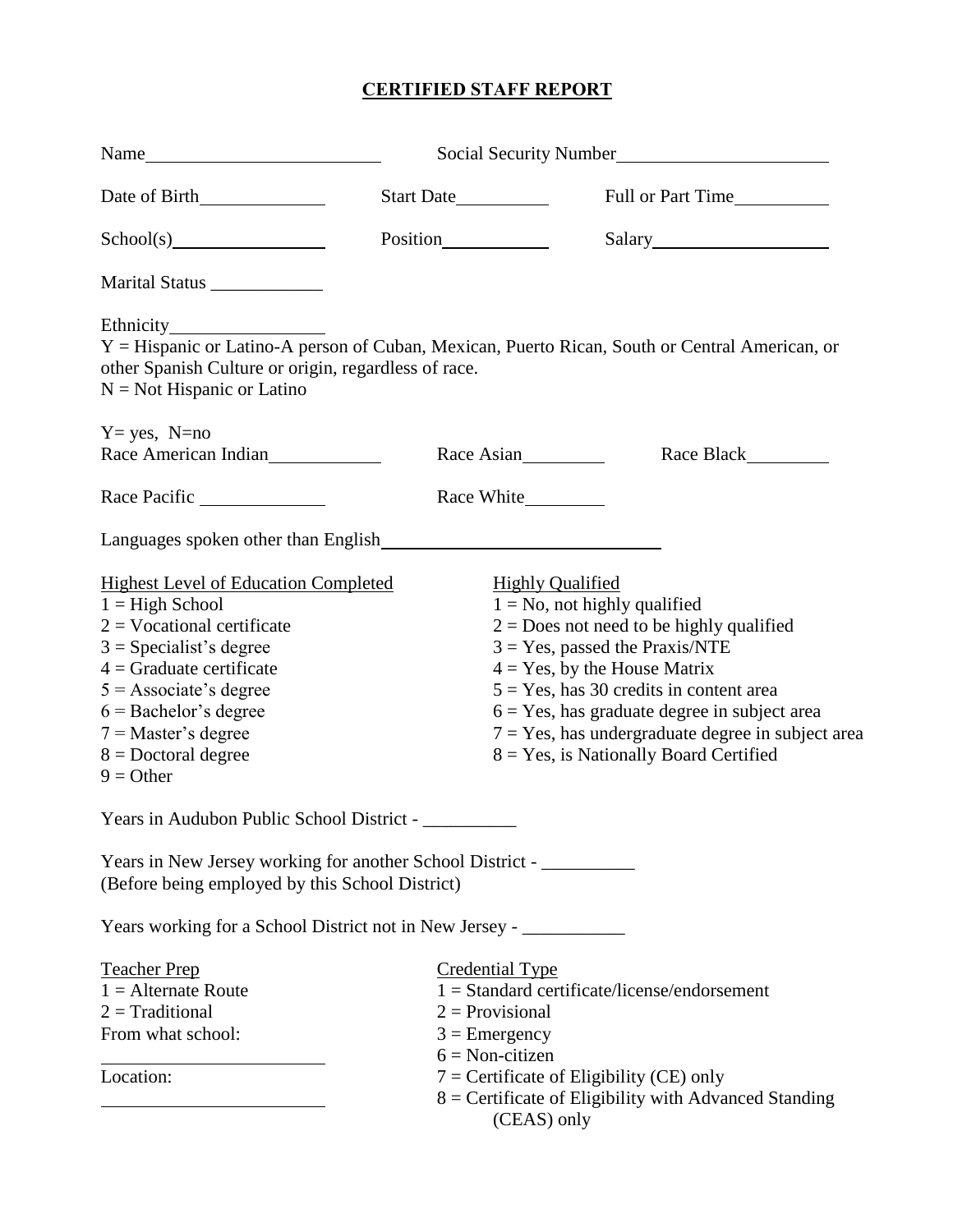## **CERTIFIED STAFF REPORT**

| Name                                                                                                                                                                                                                                                                                | Social Security Number<br><u>Letter and the security of the security of the security of the security of the security of the second security of the second security of the second second second second second second second second </u>                 |                                                                                                                                                                                                                                                                                                                                                             |
|-------------------------------------------------------------------------------------------------------------------------------------------------------------------------------------------------------------------------------------------------------------------------------------|--------------------------------------------------------------------------------------------------------------------------------------------------------------------------------------------------------------------------------------------------------|-------------------------------------------------------------------------------------------------------------------------------------------------------------------------------------------------------------------------------------------------------------------------------------------------------------------------------------------------------------|
|                                                                                                                                                                                                                                                                                     | Start Date                                                                                                                                                                                                                                             | Full or Part Time                                                                                                                                                                                                                                                                                                                                           |
| School(s)                                                                                                                                                                                                                                                                           |                                                                                                                                                                                                                                                        |                                                                                                                                                                                                                                                                                                                                                             |
| Marital Status _______________                                                                                                                                                                                                                                                      |                                                                                                                                                                                                                                                        |                                                                                                                                                                                                                                                                                                                                                             |
| Y = Hispanic or Latino-A person of Cuban, Mexican, Puerto Rican, South or Central American, or<br>other Spanish Culture or origin, regardless of race.<br>$N = Not Hispanic or Latino$                                                                                              |                                                                                                                                                                                                                                                        |                                                                                                                                                                                                                                                                                                                                                             |
| $Y = yes$ , $N = no$<br>Race American Indian                                                                                                                                                                                                                                        | Race Asian                                                                                                                                                                                                                                             | Race Black                                                                                                                                                                                                                                                                                                                                                  |
| Race Pacific                                                                                                                                                                                                                                                                        | Race White__________                                                                                                                                                                                                                                   |                                                                                                                                                                                                                                                                                                                                                             |
|                                                                                                                                                                                                                                                                                     |                                                                                                                                                                                                                                                        |                                                                                                                                                                                                                                                                                                                                                             |
| <b>Highest Level of Education Completed</b><br>$1 = High School$<br>$2 = Vocational$ certificate<br>$3$ = Specialist's degree<br>$4 =$ Graduate certificate<br>$5 =$ Associate's degree<br>$6 =$ Bachelor's degree<br>$7 = Master's degree$<br>$8 =$ Doctoral degree<br>$9 = Other$ | <b>Highly Qualified</b>                                                                                                                                                                                                                                | $1 = No$ , not highly qualified<br>$2 = Does not need to be highly qualified$<br>$3 = Yes$ , passed the Praxis/NTE<br>$4 = Yes$ , by the House Matrix<br>$5 = Yes$ , has 30 credits in content area<br>$6 = Yes$ , has graduate degree in subject area<br>$7 = Yes$ , has undergraduate degree in subject area<br>$8 = Yes$ , is Nationally Board Certified |
| Years in Audubon Public School District -                                                                                                                                                                                                                                           |                                                                                                                                                                                                                                                        |                                                                                                                                                                                                                                                                                                                                                             |
| Years in New Jersey working for another School District -<br>(Before being employed by this School District)                                                                                                                                                                        |                                                                                                                                                                                                                                                        |                                                                                                                                                                                                                                                                                                                                                             |
| Years working for a School District not in New Jersey - __________                                                                                                                                                                                                                  |                                                                                                                                                                                                                                                        |                                                                                                                                                                                                                                                                                                                                                             |
| <b>Teacher Prep</b><br>$1 =$ Alternate Route<br>$2$ = Traditional<br>From what school:<br>Location:                                                                                                                                                                                 | Credential Type<br>$1 =$ Standard certificate/license/endorsement<br>$2 = Provisional$<br>$3 =$ Emergency<br>$6 = Non-citizen$<br>$7$ = Certificate of Eligibility (CE) only<br>$8$ = Certificate of Eligibility with Advanced Standing<br>(CEAS) only |                                                                                                                                                                                                                                                                                                                                                             |